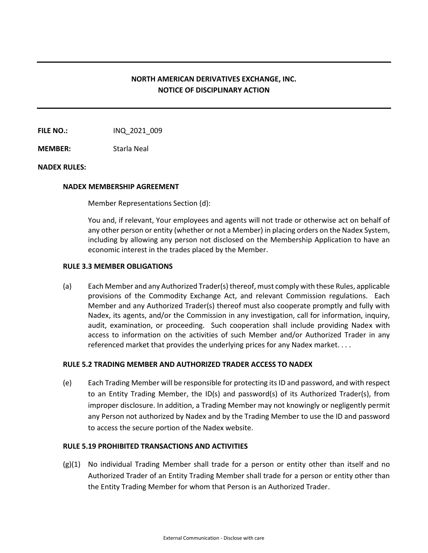# **NORTH AMERICAN DERIVATIVES EXCHANGE, INC. NOTICE OF DISCIPLINARY ACTION**

**FILE NO.:** INQ 2021 009

**MEMBER:** Starla Neal

## **NADEX RULES:**

#### **NADEX MEMBERSHIP AGREEMENT**

Member Representations Section (d):

You and, if relevant, Your employees and agents will not trade or otherwise act on behalf of any other person or entity (whether or not a Member) in placing orders on the Nadex System, including by allowing any person not disclosed on the Membership Application to have an economic interest in the trades placed by the Member.

### **RULE 3.3 MEMBER OBLIGATIONS**

(a) Each Member and any Authorized Trader(s) thereof, must comply with these Rules, applicable provisions of the Commodity Exchange Act, and relevant Commission regulations. Each Member and any Authorized Trader(s) thereof must also cooperate promptly and fully with Nadex, its agents, and/or the Commission in any investigation, call for information, inquiry, audit, examination, or proceeding. Such cooperation shall include providing Nadex with access to information on the activities of such Member and/or Authorized Trader in any referenced market that provides the underlying prices for any Nadex market. . . .

## **RULE 5.2 TRADING MEMBER AND AUTHORIZED TRADER ACCESS TO NADEX**

(e) Each Trading Member will be responsible for protecting its ID and password, and with respect to an Entity Trading Member, the ID(s) and password(s) of its Authorized Trader(s), from improper disclosure. In addition, a Trading Member may not knowingly or negligently permit any Person not authorized by Nadex and by the Trading Member to use the ID and password to access the secure portion of the Nadex website.

## **RULE 5.19 PROHIBITED TRANSACTIONS AND ACTIVITIES**

(g)(1) No individual Trading Member shall trade for a person or entity other than itself and no Authorized Trader of an Entity Trading Member shall trade for a person or entity other than the Entity Trading Member for whom that Person is an Authorized Trader.